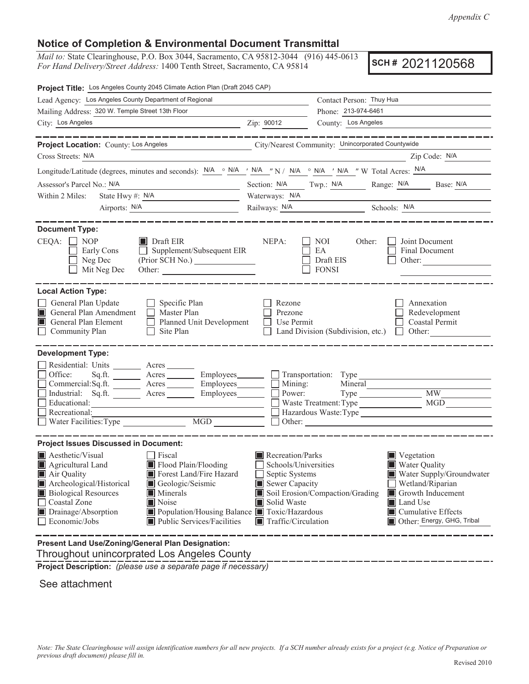## **Notice of Completion & Environmental Document Transmittal**

*Mail to:* State Clearinghouse, P.O. Box 3044, Sacramento, CA 95812-3044 (916) 445-0613 *For Hand Delivery/Street Address:* 1400 Tenth Street, Sacramento, CA 95814

**SCH #** 2021120568

| Project Title: Los Angeles County 2045 Climate Action Plan (Draft 2045 CAP)                                                                                                                                                                                                                                                                                                                                                                   |                                                                                                                                                                                                                                                                                                                                                                         |  |  |  |  |
|-----------------------------------------------------------------------------------------------------------------------------------------------------------------------------------------------------------------------------------------------------------------------------------------------------------------------------------------------------------------------------------------------------------------------------------------------|-------------------------------------------------------------------------------------------------------------------------------------------------------------------------------------------------------------------------------------------------------------------------------------------------------------------------------------------------------------------------|--|--|--|--|
| Lead Agency: Los Angeles County Department of Regional                                                                                                                                                                                                                                                                                                                                                                                        | Contact Person: Thuy Hua                                                                                                                                                                                                                                                                                                                                                |  |  |  |  |
| Mailing Address: 320 W. Temple Street 13th Floor                                                                                                                                                                                                                                                                                                                                                                                              | Phone: 213-974-6461                                                                                                                                                                                                                                                                                                                                                     |  |  |  |  |
| City: Los Angeles<br><u> 1980 - Johann Stoff, fransk politik (d. 1980)</u>                                                                                                                                                                                                                                                                                                                                                                    | County: Los Angeles<br>Zip: 90012                                                                                                                                                                                                                                                                                                                                       |  |  |  |  |
| __________                                                                                                                                                                                                                                                                                                                                                                                                                                    | ________                                                                                                                                                                                                                                                                                                                                                                |  |  |  |  |
| Project Location: County: Los Angeles                                                                                                                                                                                                                                                                                                                                                                                                         | City/Nearest Community: Unincorporated Countywide                                                                                                                                                                                                                                                                                                                       |  |  |  |  |
| Cross Streets: N/A                                                                                                                                                                                                                                                                                                                                                                                                                            | Zip Code: N/A<br><u> 1989 - Johann Barbara, martin amerikan personal (</u>                                                                                                                                                                                                                                                                                              |  |  |  |  |
|                                                                                                                                                                                                                                                                                                                                                                                                                                               | Longitude/Latitude (degrees, minutes and seconds): $N/A \circ N/A \prime N/A \circ N/A \circ N/A \prime N/A \prime N$ T W Total Acres: $N/A$                                                                                                                                                                                                                            |  |  |  |  |
| Assessor's Parcel No.: N/A                                                                                                                                                                                                                                                                                                                                                                                                                    | Section: N/A Twp.: N/A Range: N/A Base: N/A                                                                                                                                                                                                                                                                                                                             |  |  |  |  |
| State Hwy #: $N/A$<br>Within 2 Miles:                                                                                                                                                                                                                                                                                                                                                                                                         | Waterways: N/A                                                                                                                                                                                                                                                                                                                                                          |  |  |  |  |
|                                                                                                                                                                                                                                                                                                                                                                                                                                               | Railways: <u>N/A</u> Schools: <u>N/A</u>                                                                                                                                                                                                                                                                                                                                |  |  |  |  |
| <b>Document Type:</b><br>$CEQA: \Box NOP$<br>$\blacksquare$ Draft EIR<br>$\Box$ Supplement/Subsequent EIR<br>Early Cons<br>Neg Dec<br>$\blacksquare$<br>Mit Neg Dec                                                                                                                                                                                                                                                                           | NEPA:<br>Joint Document<br>NOI<br>Other:<br>EA<br>Final Document<br>Draft EIS<br>Other:<br><b>FONSI</b>                                                                                                                                                                                                                                                                 |  |  |  |  |
| <b>Local Action Type:</b><br>General Plan Update<br>$\Box$ Specific Plan<br>General Plan Amendment<br>$\Box$ Master Plan<br>General Plan Element<br>Planned Unit Development<br>Community Plan<br>Site Plan<br>$\Box$                                                                                                                                                                                                                         | Rezone<br>Annexation<br>Redevelopment<br>Prezone<br>Use Permit<br>Coastal Permit<br>Land Division (Subdivision, etc.) $\Box$ Other:                                                                                                                                                                                                                                     |  |  |  |  |
| <b>Development Type:</b><br>Residential: Units ________ Acres ______<br>Office:<br>Commercial:Sq.ft. ________ Acres ________ Employees________ __<br>Industrial: Sq.ft. _______ Acres ________ Employees _______<br>Educational:<br>Recreational:                                                                                                                                                                                             | Sq.ft. ________ Acres _________ Employees________ __ Transportation: Type _______<br>Mining:<br>Mineral<br><b>MW</b><br>Power:<br>MGD<br>Waste Treatment: Type<br>Hazardous Waste: Type                                                                                                                                                                                 |  |  |  |  |
| <b>Project Issues Discussed in Document:</b><br><b>Aesthetic/Visual</b><br><b>Fiscal</b><br>Agricultural Land<br>Flood Plain/Flooding<br>Forest Land/Fire Hazard<br>$\blacksquare$ Air Quality<br>Archeological/Historical<br>Geologic/Seismic<br><b>Biological Resources</b><br><b>Minerals</b><br>Noise<br>Coastal Zone<br>Population/Housing Balance Toxic/Hazardous<br>Drainage/Absorption<br>Public Services/Facilities<br>Economic/Jobs | Recreation/Parks<br>Vegetation<br>Schools/Universities<br><b>Water Quality</b><br>Septic Systems<br>Water Supply/Groundwater<br>Sewer Capacity<br>Wetland/Riparian<br>Soil Erosion/Compaction/Grading<br>Growth Inducement<br>Solid Waste<br><b>I</b> Land Use<br>$\blacksquare$ Cumulative Effects<br>Other: Energy, GHG, Tribal<br>$\blacksquare$ Traffic/Circulation |  |  |  |  |
| Present Land Use/Zoning/General Plan Designation:                                                                                                                                                                                                                                                                                                                                                                                             |                                                                                                                                                                                                                                                                                                                                                                         |  |  |  |  |

Throughout unincorprated Los Angeles County

**Project Description:** *(please use a separate page if necessary)*

See attachment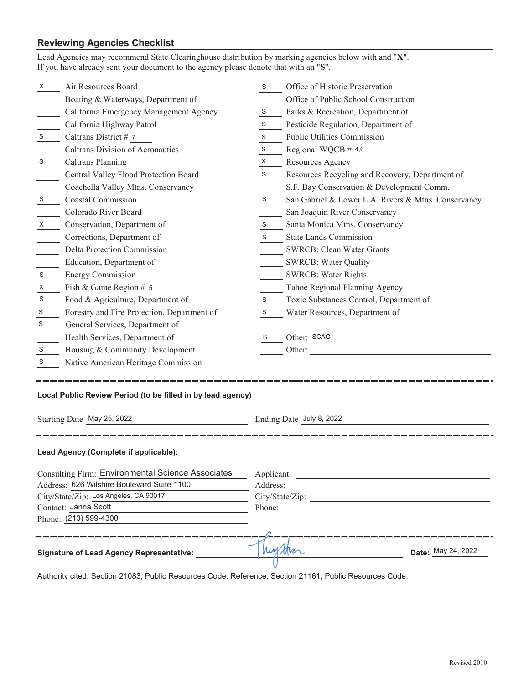## **Reviewing Agencies Checklist**

| Lead Agencies may recommend State Clearinghouse distribution by marking agencies below with and "X".<br>If you have already sent your document to the agency please denote that with an "S". |                                                 |                          |                                                     |  |  |
|----------------------------------------------------------------------------------------------------------------------------------------------------------------------------------------------|-------------------------------------------------|--------------------------|-----------------------------------------------------|--|--|
| X                                                                                                                                                                                            | Air Resources Board                             | S                        | Office of Historic Preservation                     |  |  |
|                                                                                                                                                                                              | Boating & Waterways, Department of              |                          | Office of Public School Construction                |  |  |
|                                                                                                                                                                                              | California Emergency Management Agency          | S                        | Parks & Recreation, Department of                   |  |  |
|                                                                                                                                                                                              | California Highway Patrol                       | S                        | Pesticide Regulation, Department of                 |  |  |
| S                                                                                                                                                                                            | Caltrans District # 7                           | S                        | Public Utilities Commission                         |  |  |
|                                                                                                                                                                                              | <b>Caltrans Division of Aeronautics</b>         | S                        | Regional WQCB # 4,6                                 |  |  |
| ${\mathsf S}$                                                                                                                                                                                | Caltrans Planning                               | X                        | Resources Agency                                    |  |  |
|                                                                                                                                                                                              | Central Valley Flood Protection Board           | S                        | Resources Recycling and Recovery, Department of     |  |  |
|                                                                                                                                                                                              | Coachella Valley Mtns. Conservancy              |                          | S.F. Bay Conservation & Development Comm.           |  |  |
| S                                                                                                                                                                                            | <b>Coastal Commission</b>                       | S                        | San Gabriel & Lower L.A. Rivers & Mtns. Conservancy |  |  |
|                                                                                                                                                                                              | Colorado River Board                            |                          | San Joaquin River Conservancy                       |  |  |
| X                                                                                                                                                                                            | Conservation, Department of                     | S                        | Santa Monica Mtns. Conservancy                      |  |  |
|                                                                                                                                                                                              | Corrections, Department of                      | S                        | <b>State Lands Commission</b>                       |  |  |
|                                                                                                                                                                                              | Delta Protection Commission                     |                          | <b>SWRCB: Clean Water Grants</b>                    |  |  |
|                                                                                                                                                                                              | Education, Department of                        |                          | <b>SWRCB: Water Quality</b>                         |  |  |
| S                                                                                                                                                                                            | <b>Energy Commission</b>                        |                          | <b>SWRCB: Water Rights</b>                          |  |  |
| X                                                                                                                                                                                            | Fish & Game Region # 5                          |                          | Tahoe Regional Planning Agency                      |  |  |
| $\mathbb S$                                                                                                                                                                                  | Food & Agriculture, Department of               | S                        | Toxic Substances Control, Department of             |  |  |
| S                                                                                                                                                                                            | Forestry and Fire Protection, Department of     | S                        | Water Resources, Department of                      |  |  |
| S                                                                                                                                                                                            | General Services, Department of                 |                          |                                                     |  |  |
|                                                                                                                                                                                              | Health Services, Department of                  | S                        | Other: SCAG                                         |  |  |
| S                                                                                                                                                                                            | Housing & Community Development                 |                          | Other:                                              |  |  |
| S                                                                                                                                                                                            | Native American Heritage Commission             |                          |                                                     |  |  |
| Local Public Review Period (to be filled in by lead agency)                                                                                                                                  |                                                 |                          |                                                     |  |  |
| Starting Date May 25, 2022                                                                                                                                                                   |                                                 | Ending Date July 8, 2022 |                                                     |  |  |
| Lead Agency (Complete if applicable):                                                                                                                                                        |                                                 |                          |                                                     |  |  |
| <b>Consulting Firm: Environmental Science Associates</b>                                                                                                                                     |                                                 |                          |                                                     |  |  |
| Address: 626 Wilshire Boulevard Suite 1100                                                                                                                                                   |                                                 |                          |                                                     |  |  |
| City/State/Zip: Los Angeles, CA 90017                                                                                                                                                        |                                                 |                          |                                                     |  |  |
| Contact: Janna Scott                                                                                                                                                                         |                                                 |                          | Phone:                                              |  |  |
| Phone: (213) 599-4300                                                                                                                                                                        |                                                 |                          |                                                     |  |  |
|                                                                                                                                                                                              | <b>Signature of Lead Agency Representative:</b> |                          | Date: May 24, 2022                                  |  |  |

Authority cited: Section 21083, Public Resources Code. Reference: Section 21161, Public Resources Code.